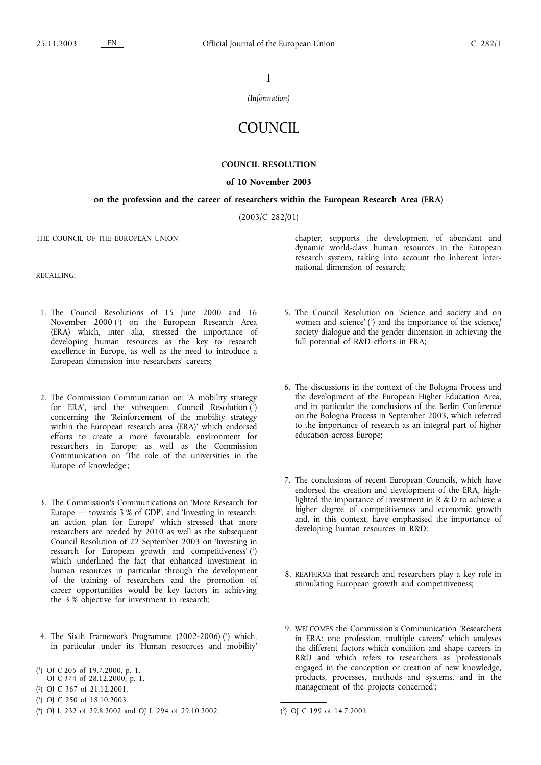I

*(Information)*

## **COUNCIL**

## **COUNCIL RESOLUTION**

## **of 10 November 2003**

## **on the profession and the career of researchers within the European Research Area (ERA)**

(2003/C 282/01)

THE COUNCIL OF THE EUROPEAN UNION

RECALLING:

- 1. The Council Resolutions of 15 June 2000 and 16 November 2000 (1) on the European Research Area (ERA) which, inter alia, stressed the importance of developing human resources as the key to research excellence in Europe, as well as the need to introduce a European dimension into researchers' careers;
- 2. The Commission Communication on: 'A mobility strategy for ERA', and the subsequent Council Resolution  $\binom{2}{1}$ concerning the 'Reinforcement of the mobility strategy within the European research area (ERA)' which endorsed efforts to create a more favourable environment for researchers in Europe; as well as the Commission Communication on 'The role of the universities in the Europe of knowledge';
- 3. The Commission's Communications on 'More Research for Europe — towards 3 % of GDP', and 'Investing in research: an action plan for Europe' which stressed that more researchers are needed by 2010 as well as the subsequent Council Resolution of 22 September 2003 on 'Investing in research for European growth and competitiveness' (3) which underlined the fact that enhanced investment in human resources in particular through the development of the training of researchers and the promotion of career opportunities would be key factors in achieving the 3 % objective for investment in research;
- 4. The Sixth Framework Programme (2002-2006) (4) which, in particular under its 'Human resources and mobility'

chapter, supports the development of abundant and dynamic world-class human resources in the European research system, taking into account the inherent international dimension of research;

- 5. The Council Resolution on 'Science and society and on women and science'  $(5)$  and the importance of the science/ society dialogue and the gender dimension in achieving the full potential of R&D efforts in ERA;
- 6. The discussions in the context of the Bologna Process and the development of the European Higher Education Area, and in particular the conclusions of the Berlin Conference on the Bologna Process in September 2003, which referred to the importance of research as an integral part of higher education across Europe;
- 7. The conclusions of recent European Councils, which have endorsed the creation and development of the ERA, highlighted the importance of investment in R & D to achieve a higher degree of competitiveness and economic growth and, in this context, have emphasised the importance of developing human resources in R&D;
- 8. REAFFIRMS that research and researchers play a key role in stimulating European growth and competitiveness;
- 9. WELCOMES the Commission's Communication 'Researchers in ERA: one profession, multiple careers' which analyses the different factors which condition and shape careers in R&D and which refers to researchers as 'professionals engaged in the conception or creation of new knowledge, products, processes, methods and systems, and in the management of the projects concerned';

<sup>(</sup> 1) OJ C 205 of 19.7.2000, p. 1.

OJ C 374 of 28.12.2000, p. 1.

<sup>(</sup> 2) OJ C 367 of 21.12.2001.

<sup>(</sup> 3) OJ C 250 of 18.10.2003.

<sup>(</sup> 4) OJ L 232 of 29.8.2002 and OJ L 294 of 29.10.2002. (

<sup>5)</sup> OJ C 199 of 14.7.2001.